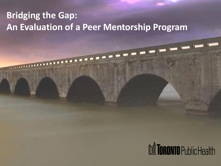#### **Bridging the Gap: An Evaluation of a Peer Mentorship Program**

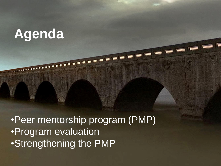## **Agenda**

•Peer mentorship program (PMP) •Program evaluation •Strengthening the PMP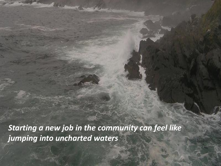*Starting a new job in the community can feel like jumping into uncharted waters*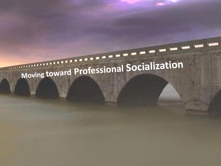# Moving toward Professional Socialization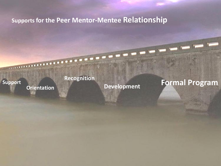#### **Supports for the Peer Mentor-Mentee Relationship**

**Recognition**

**Support**<br> **Development** 

## **Formal Program Orientation**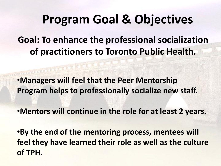## **Program Goal & Objectives**

**Goal: To enhance the professional socialization of practitioners to Toronto Public Health.**

•**Managers will feel that the Peer Mentorship Program helps to professionally socialize new staff.**

•**Mentors will continue in the role for at least 2 years.**

•**By the end of the mentoring process, mentees will feel they have learned their role as well as the culture of TPH.**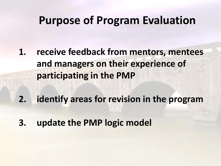### **Purpose of Program Evaluation**

- **1. receive feedback from mentors, mentees and managers on their experience of participating in the PMP**
- **2. identify areas for revision in the program**
- **3. update the PMP logic model**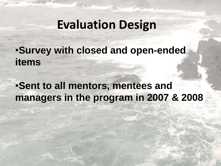## **Evaluation Design**

•**Survey with closed and open-ended items**

#### •**Sent to all mentors, mentees and managers in the program in 2007 & 2008**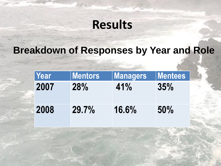## **Results**

#### **Breakdown of Responses by Year and Role**

| Year | <b>Mentors</b> | <b>Managers</b> | <b>Mentees</b> |
|------|----------------|-----------------|----------------|
| 2007 | 28%            | 41%             | 35%            |
| 2008 | 29.7%          | 16.6%           | 50%            |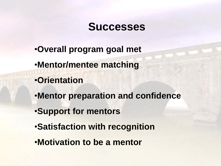#### **Successes**

- •**Overall program goal met**
- •**Mentor/mentee matching**
- •**Orientation**
- •**Mentor preparation and confidence**
- •**Support for mentors**
- •**Satisfaction with recognition**
- •**Motivation to be a mentor**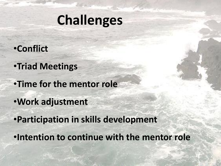## **Challenges**

#### •**Conflict**

- •**Triad Meetings**
- •**Time for the mentor role**
- •**Work adjustment**
- •**Participation in skills development**
- •**Intention to continue with the mentor role**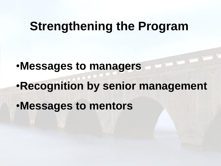## **Strengthening the Program**

•**Messages to managers** •**Recognition by senior management**  •**Messages to mentors**